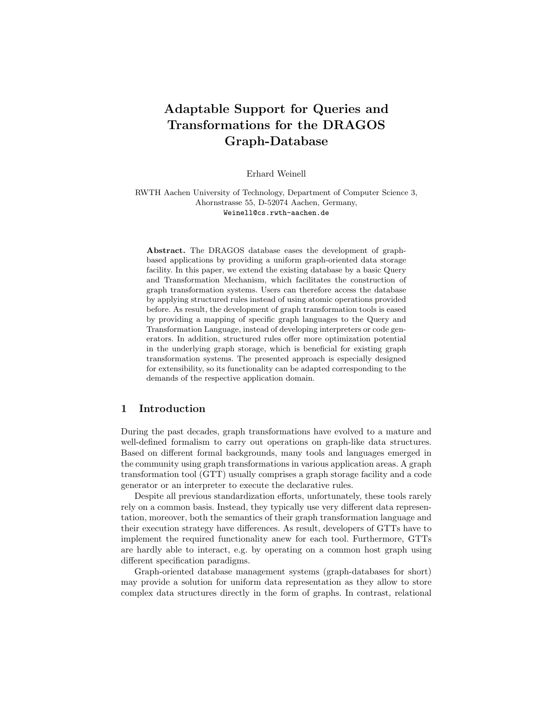# Adaptable Support for Queries and Transformations for the DRAGOS Graph-Database

Erhard Weinell

RWTH Aachen University of Technology, Department of Computer Science 3, Ahornstrasse 55, D-52074 Aachen, Germany, Weinell@cs.rwth-aachen.de

Abstract. The DRAGOS database eases the development of graphbased applications by providing a uniform graph-oriented data storage facility. In this paper, we extend the existing database by a basic Query and Transformation Mechanism, which facilitates the construction of graph transformation systems. Users can therefore access the database by applying structured rules instead of using atomic operations provided before. As result, the development of graph transformation tools is eased by providing a mapping of specific graph languages to the Query and Transformation Language, instead of developing interpreters or code generators. In addition, structured rules offer more optimization potential in the underlying graph storage, which is beneficial for existing graph transformation systems. The presented approach is especially designed for extensibility, so its functionality can be adapted corresponding to the demands of the respective application domain.

## 1 Introduction

During the past decades, graph transformations have evolved to a mature and well-defined formalism to carry out operations on graph-like data structures. Based on different formal backgrounds, many tools and languages emerged in the community using graph transformations in various application areas. A graph transformation tool (GTT) usually comprises a graph storage facility and a code generator or an interpreter to execute the declarative rules.

Despite all previous standardization efforts, unfortunately, these tools rarely rely on a common basis. Instead, they typically use very different data representation, moreover, both the semantics of their graph transformation language and their execution strategy have differences. As result, developers of GTTs have to implement the required functionality anew for each tool. Furthermore, GTTs are hardly able to interact, e.g. by operating on a common host graph using different specification paradigms.

Graph-oriented database management systems (graph-databases for short) may provide a solution for uniform data representation as they allow to store complex data structures directly in the form of graphs. In contrast, relational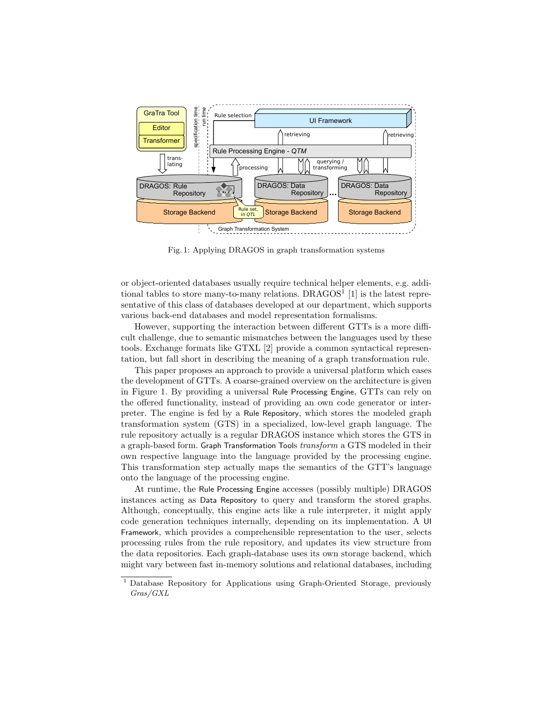

Fig. 1: Applying DRAGOS in graph transformation systems

or object-oriented databases usually require technical helper elements, e.g. additional tables to store many-to-many relations. DRAGOS<sup>1</sup> [1] is the latest representative of this class of databases developed at our department, which supports various back-end databases and model representation formalisms.

However, supporting the interaction between different GTTs is a more difficult challenge, due to semantic mismatches between the languages used by these tools. Exchange formats like GTXL [2] provide a common syntactical representation, but fall short in describing the meaning of a graph transformation rule.

This paper proposes an approach to provide a universal platform which eases the development of GTTs. A coarse-grained overview on the architecture is given in Figure 1. By providing a universal Rule Processing Engine, GTTs can rely on the offered functionality, instead of providing an own code generator or interpreter. The engine is fed by a Rule Repository, which stores the modeled graph transformation system (GTS) in a specialized, low-level graph language. The rule repository actually is a regular DRAGOS instance which stores the GTS in a graph-based form. Graph Transformation Tools transform a GTS modeled in their own respective language into the language provided by the processing engine. This transformation step actually maps the semantics of the GTT's language onto the language of the processing engine.

At runtime, the Rule Processing Engine accesses (possibly multiple) DRAGOS instances acting as Data Repository to query and transform the stored graphs. Although, conceptually, this engine acts like a rule interpreter, it might apply code generation techniques internally, depending on its implementation. A UI Framework, which provides a comprehensible representation to the user, selects processing rules from the rule repository, and updates its view structure from the data repositories. Each graph-database uses its own storage backend, which might vary between fast in-memory solutions and relational databases, including

<sup>&</sup>lt;sup>1</sup> Database Repository for Applications using Graph-Oriented Storage, previously Gras/GXL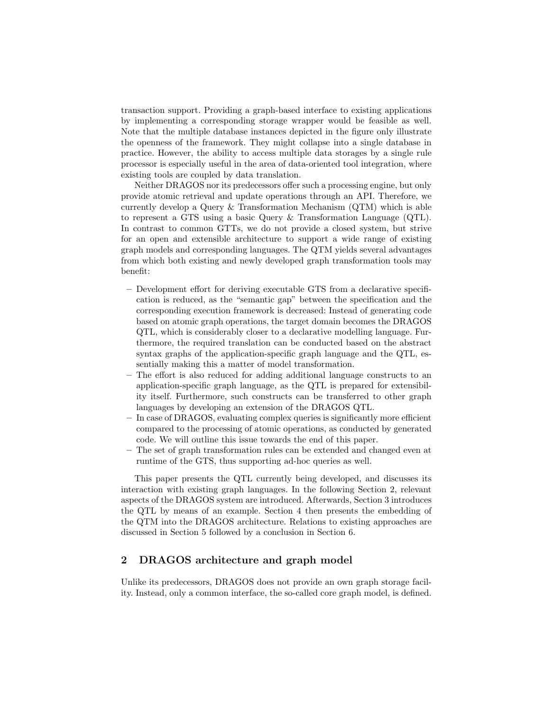transaction support. Providing a graph-based interface to existing applications by implementing a corresponding storage wrapper would be feasible as well. Note that the multiple database instances depicted in the figure only illustrate the openness of the framework. They might collapse into a single database in practice. However, the ability to access multiple data storages by a single rule processor is especially useful in the area of data-oriented tool integration, where existing tools are coupled by data translation.

Neither DRAGOS nor its predecessors offer such a processing engine, but only provide atomic retrieval and update operations through an API. Therefore, we currently develop a Query & Transformation Mechanism (QTM) which is able to represent a GTS using a basic Query & Transformation Language (QTL). In contrast to common GTTs, we do not provide a closed system, but strive for an open and extensible architecture to support a wide range of existing graph models and corresponding languages. The QTM yields several advantages from which both existing and newly developed graph transformation tools may benefit:

- Development effort for deriving executable GTS from a declarative specification is reduced, as the "semantic gap" between the specification and the corresponding execution framework is decreased: Instead of generating code based on atomic graph operations, the target domain becomes the DRAGOS QTL, which is considerably closer to a declarative modelling language. Furthermore, the required translation can be conducted based on the abstract syntax graphs of the application-specific graph language and the QTL, essentially making this a matter of model transformation.
- The effort is also reduced for adding additional language constructs to an application-specific graph language, as the QTL is prepared for extensibility itself. Furthermore, such constructs can be transferred to other graph languages by developing an extension of the DRAGOS QTL.
- In case of DRAGOS, evaluating complex queries is significantly more efficient compared to the processing of atomic operations, as conducted by generated code. We will outline this issue towards the end of this paper.
- The set of graph transformation rules can be extended and changed even at runtime of the GTS, thus supporting ad-hoc queries as well.

This paper presents the QTL currently being developed, and discusses its interaction with existing graph languages. In the following Section 2, relevant aspects of the DRAGOS system are introduced. Afterwards, Section 3 introduces the QTL by means of an example. Section 4 then presents the embedding of the QTM into the DRAGOS architecture. Relations to existing approaches are discussed in Section 5 followed by a conclusion in Section 6.

# 2 DRAGOS architecture and graph model

Unlike its predecessors, DRAGOS does not provide an own graph storage facility. Instead, only a common interface, the so-called core graph model, is defined.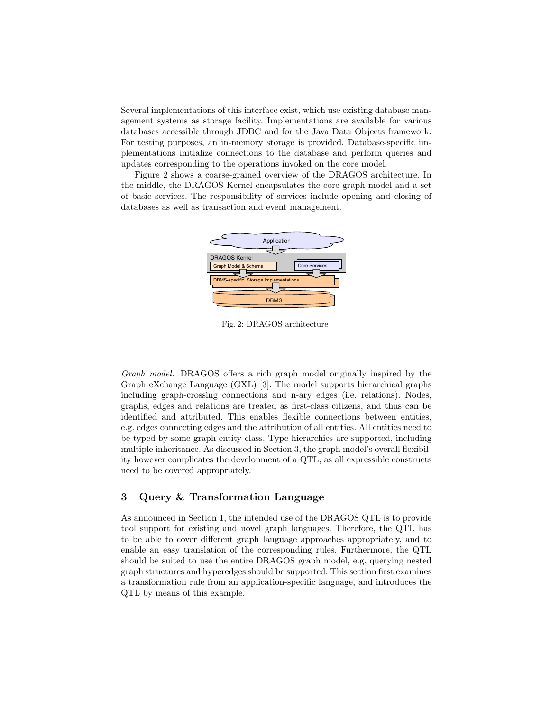Several implementations of this interface exist, which use existing database management systems as storage facility. Implementations are available for various databases accessible through JDBC and for the Java Data Objects framework. For testing purposes, an in-memory storage is provided. Database-specific implementations initialize connections to the database and perform queries and updates corresponding to the operations invoked on the core model.

Figure 2 shows a coarse-grained overview of the DRAGOS architecture. In the middle, the DRAGOS Kernel encapsulates the core graph model and a set of basic services. The responsibility of services include opening and closing of databases as well as transaction and event management.



Fig. 2: DRAGOS architecture

Graph model. DRAGOS offers a rich graph model originally inspired by the Graph eXchange Language (GXL) [3]. The model supports hierarchical graphs including graph-crossing connections and n-ary edges (i.e. relations). Nodes, graphs, edges and relations are treated as first-class citizens, and thus can be identified and attributed. This enables flexible connections between entities, e.g. edges connecting edges and the attribution of all entities. All entities need to be typed by some graph entity class. Type hierarchies are supported, including multiple inheritance. As discussed in Section 3, the graph model's overall flexibility however complicates the development of a QTL, as all expressible constructs need to be covered appropriately.

# 3 Query & Transformation Language

As announced in Section 1, the intended use of the DRAGOS QTL is to provide tool support for existing and novel graph languages. Therefore, the QTL has to be able to cover different graph language approaches appropriately, and to enable an easy translation of the corresponding rules. Furthermore, the QTL should be suited to use the entire DRAGOS graph model, e.g. querying nested graph structures and hyperedges should be supported. This section first examines a transformation rule from an application-specific language, and introduces the QTL by means of this example.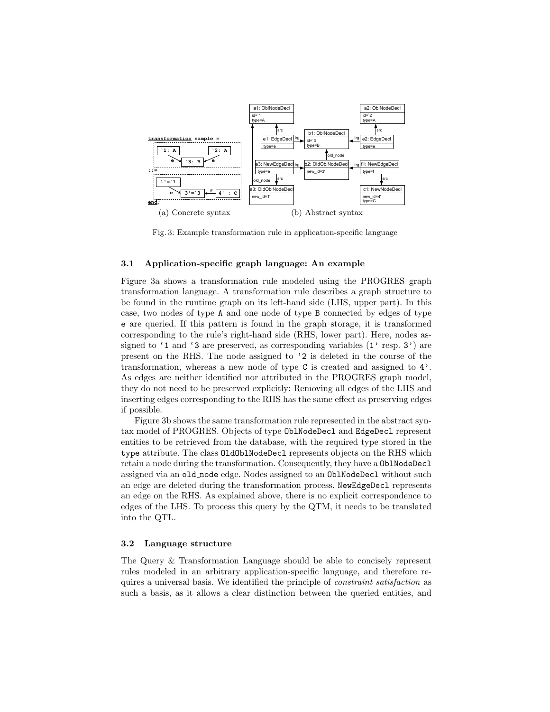

Fig. 3: Example transformation rule in application-specific language

#### 3.1 Application-specific graph language: An example

Figure 3a shows a transformation rule modeled using the PROGRES graph transformation language. A transformation rule describes a graph structure to be found in the runtime graph on its left-hand side (LHS, upper part). In this case, two nodes of type A and one node of type B connected by edges of type e are queried. If this pattern is found in the graph storage, it is transformed corresponding to the rule's right-hand side (RHS, lower part). Here, nodes assigned to '1 and '3 are preserved, as corresponding variables  $(1'$  resp. 3') are present on the RHS. The node assigned to '2 is deleted in the course of the transformation, whereas a new node of type C is created and assigned to 4'. As edges are neither identified nor attributed in the PROGRES graph model, they do not need to be preserved explicitly: Removing all edges of the LHS and inserting edges corresponding to the RHS has the same effect as preserving edges if possible.

Figure 3b shows the same transformation rule represented in the abstract syntax model of PROGRES. Objects of type OblNodeDecl and EdgeDecl represent entities to be retrieved from the database, with the required type stored in the type attribute. The class OldOblNodeDecl represents objects on the RHS which retain a node during the transformation. Consequently, they have a OblNodeDecl assigned via an old node edge. Nodes assigned to an OblNodeDecl without such an edge are deleted during the transformation process. NewEdgeDecl represents an edge on the RHS. As explained above, there is no explicit correspondence to edges of the LHS. To process this query by the QTM, it needs to be translated into the QTL.

#### 3.2 Language structure

The Query & Transformation Language should be able to concisely represent rules modeled in an arbitrary application-specific language, and therefore requires a universal basis. We identified the principle of constraint satisfaction as such a basis, as it allows a clear distinction between the queried entities, and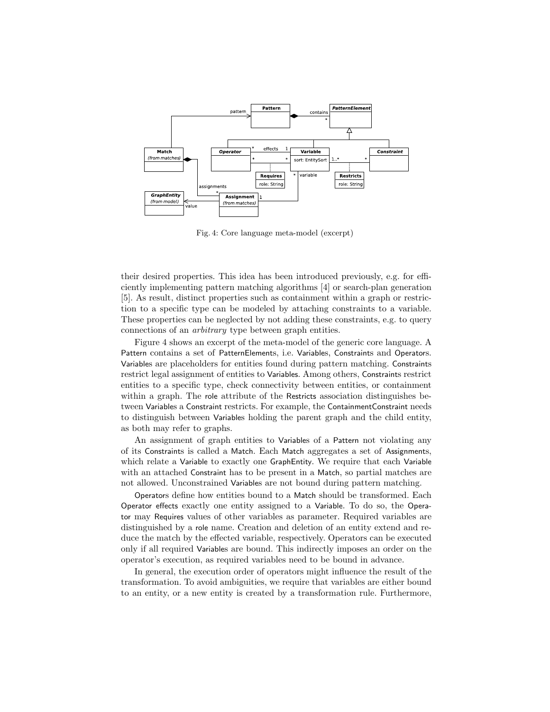

Fig. 4: Core language meta-model (excerpt)

their desired properties. This idea has been introduced previously, e.g. for efficiently implementing pattern matching algorithms [4] or search-plan generation [5]. As result, distinct properties such as containment within a graph or restriction to a specific type can be modeled by attaching constraints to a variable. These properties can be neglected by not adding these constraints, e.g. to query connections of an arbitrary type between graph entities.

Figure 4 shows an excerpt of the meta-model of the generic core language. A Pattern contains a set of PatternElements, i.e. Variables, Constraints and Operators. Variables are placeholders for entities found during pattern matching. Constraints restrict legal assignment of entities to Variables. Among others, Constraints restrict entities to a specific type, check connectivity between entities, or containment within a graph. The role attribute of the Restricts association distinguishes between Variables a Constraint restricts. For example, the ContainmentConstraint needs to distinguish between Variables holding the parent graph and the child entity, as both may refer to graphs.

An assignment of graph entities to Variables of a Pattern not violating any of its Constraints is called a Match. Each Match aggregates a set of Assignments, which relate a Variable to exactly one GraphEntity. We require that each Variable with an attached Constraint has to be present in a Match, so partial matches are not allowed. Unconstrained Variables are not bound during pattern matching.

Operators define how entities bound to a Match should be transformed. Each Operator effects exactly one entity assigned to a Variable. To do so, the Operator may Requires values of other variables as parameter. Required variables are distinguished by a role name. Creation and deletion of an entity extend and reduce the match by the effected variable, respectively. Operators can be executed only if all required Variables are bound. This indirectly imposes an order on the operator's execution, as required variables need to be bound in advance.

In general, the execution order of operators might influence the result of the transformation. To avoid ambiguities, we require that variables are either bound to an entity, or a new entity is created by a transformation rule. Furthermore,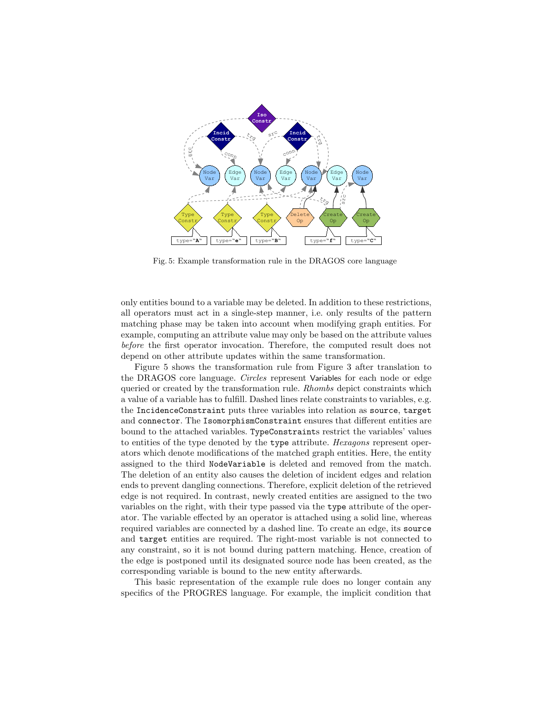

Fig. 5: Example transformation rule in the DRAGOS core language

only entities bound to a variable may be deleted. In addition to these restrictions, all operators must act in a single-step manner, i.e. only results of the pattern matching phase may be taken into account when modifying graph entities. For example, computing an attribute value may only be based on the attribute values before the first operator invocation. Therefore, the computed result does not depend on other attribute updates within the same transformation.

Figure 5 shows the transformation rule from Figure 3 after translation to the DRAGOS core language. Circles represent Variables for each node or edge queried or created by the transformation rule. Rhombs depict constraints which a value of a variable has to fulfill. Dashed lines relate constraints to variables, e.g. the IncidenceConstraint puts three variables into relation as source, target and connector. The IsomorphismConstraint ensures that different entities are bound to the attached variables. TypeConstraints restrict the variables' values to entities of the type denoted by the type attribute. *Hexagons* represent operators which denote modifications of the matched graph entities. Here, the entity assigned to the third NodeVariable is deleted and removed from the match. The deletion of an entity also causes the deletion of incident edges and relation ends to prevent dangling connections. Therefore, explicit deletion of the retrieved edge is not required. In contrast, newly created entities are assigned to the two variables on the right, with their type passed via the type attribute of the operator. The variable effected by an operator is attached using a solid line, whereas required variables are connected by a dashed line. To create an edge, its source and target entities are required. The right-most variable is not connected to any constraint, so it is not bound during pattern matching. Hence, creation of the edge is postponed until its designated source node has been created, as the corresponding variable is bound to the new entity afterwards.

This basic representation of the example rule does no longer contain any specifics of the PROGRES language. For example, the implicit condition that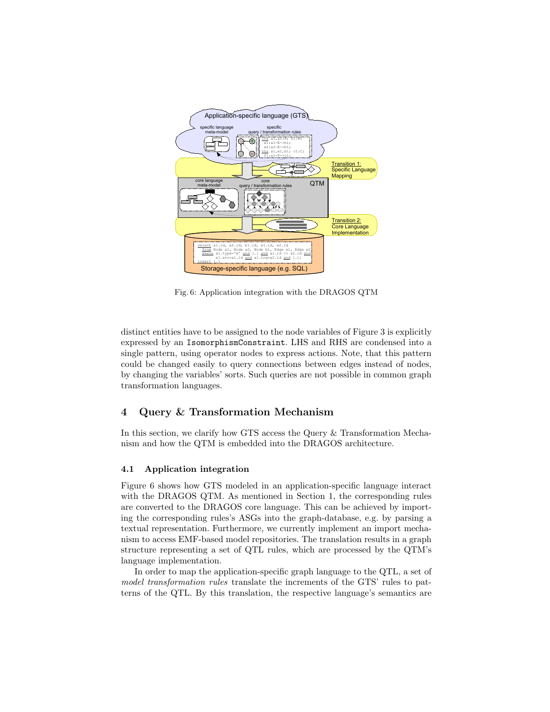

Fig. 6: Application integration with the DRAGOS QTM

distinct entities have to be assigned to the node variables of Figure 3 is explicitly expressed by an IsomorphismConstraint. LHS and RHS are condensed into a single pattern, using operator nodes to express actions. Note, that this pattern could be changed easily to query connections between edges instead of nodes, by changing the variables' sorts. Such queries are not possible in common graph transformation languages.

# 4 Query & Transformation Mechanism

In this section, we clarify how GTS access the Query & Transformation Mechanism and how the QTM is embedded into the DRAGOS architecture.

#### 4.1 Application integration

Figure 6 shows how GTS modeled in an application-specific language interact with the DRAGOS QTM. As mentioned in Section 1, the corresponding rules are converted to the DRAGOS core language. This can be achieved by importing the corresponding rules's ASGs into the graph-database, e.g. by parsing a textual representation. Furthermore, we currently implement an import mechanism to access EMF-based model repositories. The translation results in a graph structure representing a set of QTL rules, which are processed by the QTM's language implementation.

In order to map the application-specific graph language to the QTL, a set of model transformation rules translate the increments of the GTS' rules to patterns of the QTL. By this translation, the respective language's semantics are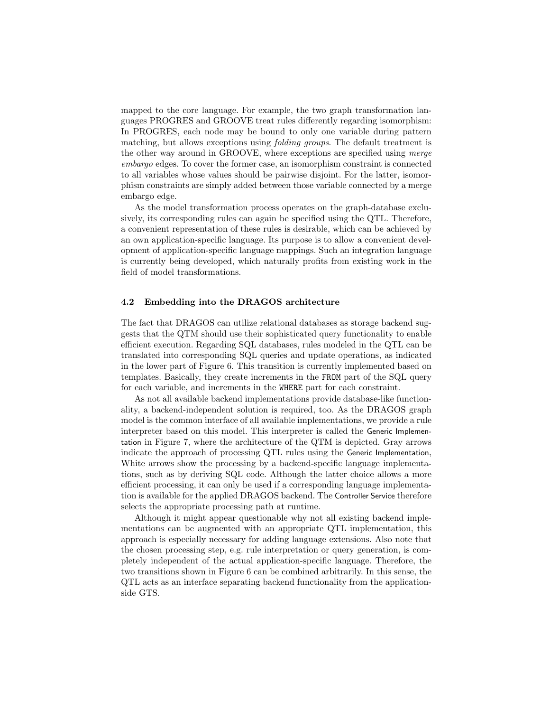mapped to the core language. For example, the two graph transformation languages PROGRES and GROOVE treat rules differently regarding isomorphism: In PROGRES, each node may be bound to only one variable during pattern matching, but allows exceptions using folding groups. The default treatment is the other way around in GROOVE, where exceptions are specified using merge embargo edges. To cover the former case, an isomorphism constraint is connected to all variables whose values should be pairwise disjoint. For the latter, isomorphism constraints are simply added between those variable connected by a merge embargo edge.

As the model transformation process operates on the graph-database exclusively, its corresponding rules can again be specified using the QTL. Therefore, a convenient representation of these rules is desirable, which can be achieved by an own application-specific language. Its purpose is to allow a convenient development of application-specific language mappings. Such an integration language is currently being developed, which naturally profits from existing work in the field of model transformations.

## 4.2 Embedding into the DRAGOS architecture

The fact that DRAGOS can utilize relational databases as storage backend suggests that the QTM should use their sophisticated query functionality to enable efficient execution. Regarding SQL databases, rules modeled in the QTL can be translated into corresponding SQL queries and update operations, as indicated in the lower part of Figure 6. This transition is currently implemented based on templates. Basically, they create increments in the FROM part of the SQL query for each variable, and increments in the WHERE part for each constraint.

As not all available backend implementations provide database-like functionality, a backend-independent solution is required, too. As the DRAGOS graph model is the common interface of all available implementations, we provide a rule interpreter based on this model. This interpreter is called the Generic Implementation in Figure 7, where the architecture of the QTM is depicted. Gray arrows indicate the approach of processing QTL rules using the Generic Implementation, White arrows show the processing by a backend-specific language implementations, such as by deriving SQL code. Although the latter choice allows a more efficient processing, it can only be used if a corresponding language implementation is available for the applied DRAGOS backend. The Controller Service therefore selects the appropriate processing path at runtime.

Although it might appear questionable why not all existing backend implementations can be augmented with an appropriate QTL implementation, this approach is especially necessary for adding language extensions. Also note that the chosen processing step, e.g. rule interpretation or query generation, is completely independent of the actual application-specific language. Therefore, the two transitions shown in Figure 6 can be combined arbitrarily. In this sense, the QTL acts as an interface separating backend functionality from the applicationside GTS.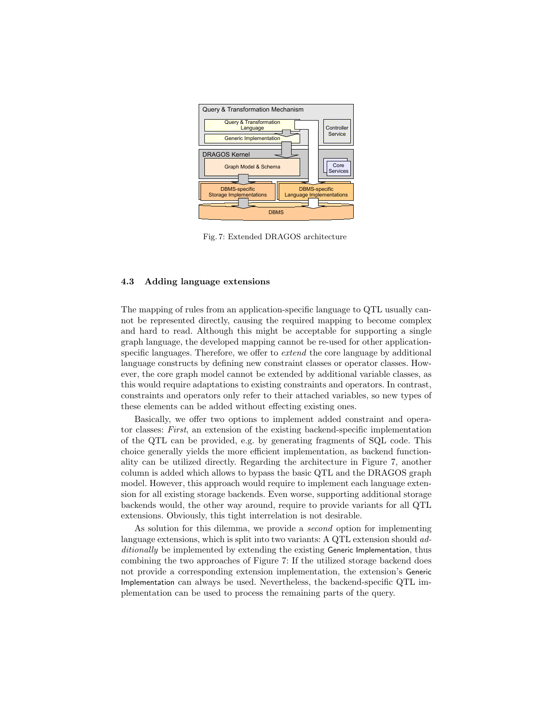

Fig. 7: Extended DRAGOS architecture

#### 4.3 Adding language extensions

The mapping of rules from an application-specific language to QTL usually cannot be represented directly, causing the required mapping to become complex and hard to read. Although this might be acceptable for supporting a single graph language, the developed mapping cannot be re-used for other applicationspecific languages. Therefore, we offer to *extend* the core language by additional language constructs by defining new constraint classes or operator classes. However, the core graph model cannot be extended by additional variable classes, as this would require adaptations to existing constraints and operators. In contrast, constraints and operators only refer to their attached variables, so new types of these elements can be added without effecting existing ones.

Basically, we offer two options to implement added constraint and operator classes: First, an extension of the existing backend-specific implementation of the QTL can be provided, e.g. by generating fragments of SQL code. This choice generally yields the more efficient implementation, as backend functionality can be utilized directly. Regarding the architecture in Figure 7, another column is added which allows to bypass the basic QTL and the DRAGOS graph model. However, this approach would require to implement each language extension for all existing storage backends. Even worse, supporting additional storage backends would, the other way around, require to provide variants for all QTL extensions. Obviously, this tight interrelation is not desirable.

As solution for this dilemma, we provide a second option for implementing language extensions, which is split into two variants: A QTL extension should  $ad$ ditionally be implemented by extending the existing Generic Implementation, thus combining the two approaches of Figure 7: If the utilized storage backend does not provide a corresponding extension implementation, the extension's Generic Implementation can always be used. Nevertheless, the backend-specific QTL implementation can be used to process the remaining parts of the query.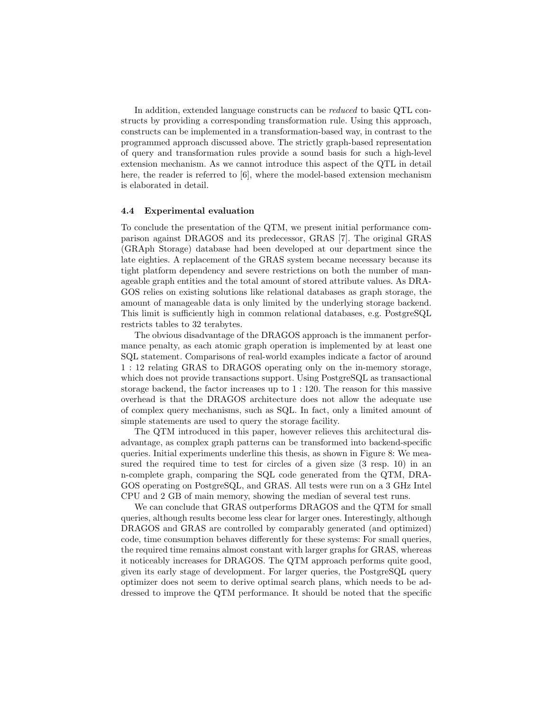In addition, extended language constructs can be reduced to basic QTL constructs by providing a corresponding transformation rule. Using this approach, constructs can be implemented in a transformation-based way, in contrast to the programmed approach discussed above. The strictly graph-based representation of query and transformation rules provide a sound basis for such a high-level extension mechanism. As we cannot introduce this aspect of the QTL in detail here, the reader is referred to [6], where the model-based extension mechanism is elaborated in detail.

#### 4.4 Experimental evaluation

To conclude the presentation of the QTM, we present initial performance comparison against DRAGOS and its predecessor, GRAS [7]. The original GRAS (GRAph Storage) database had been developed at our department since the late eighties. A replacement of the GRAS system became necessary because its tight platform dependency and severe restrictions on both the number of manageable graph entities and the total amount of stored attribute values. As DRA-GOS relies on existing solutions like relational databases as graph storage, the amount of manageable data is only limited by the underlying storage backend. This limit is sufficiently high in common relational databases, e.g. PostgreSQL restricts tables to 32 terabytes.

The obvious disadvantage of the DRAGOS approach is the immanent performance penalty, as each atomic graph operation is implemented by at least one SQL statement. Comparisons of real-world examples indicate a factor of around 1 : 12 relating GRAS to DRAGOS operating only on the in-memory storage, which does not provide transactions support. Using PostgreSQL as transactional storage backend, the factor increases up to  $1:120$ . The reason for this massive overhead is that the DRAGOS architecture does not allow the adequate use of complex query mechanisms, such as SQL. In fact, only a limited amount of simple statements are used to query the storage facility.

The QTM introduced in this paper, however relieves this architectural disadvantage, as complex graph patterns can be transformed into backend-specific queries. Initial experiments underline this thesis, as shown in Figure 8: We measured the required time to test for circles of a given size (3 resp. 10) in an n-complete graph, comparing the SQL code generated from the QTM, DRA-GOS operating on PostgreSQL, and GRAS. All tests were run on a 3 GHz Intel CPU and 2 GB of main memory, showing the median of several test runs.

We can conclude that GRAS outperforms DRAGOS and the QTM for small queries, although results become less clear for larger ones. Interestingly, although DRAGOS and GRAS are controlled by comparably generated (and optimized) code, time consumption behaves differently for these systems: For small queries, the required time remains almost constant with larger graphs for GRAS, whereas it noticeably increases for DRAGOS. The QTM approach performs quite good, given its early stage of development. For larger queries, the PostgreSQL query optimizer does not seem to derive optimal search plans, which needs to be addressed to improve the QTM performance. It should be noted that the specific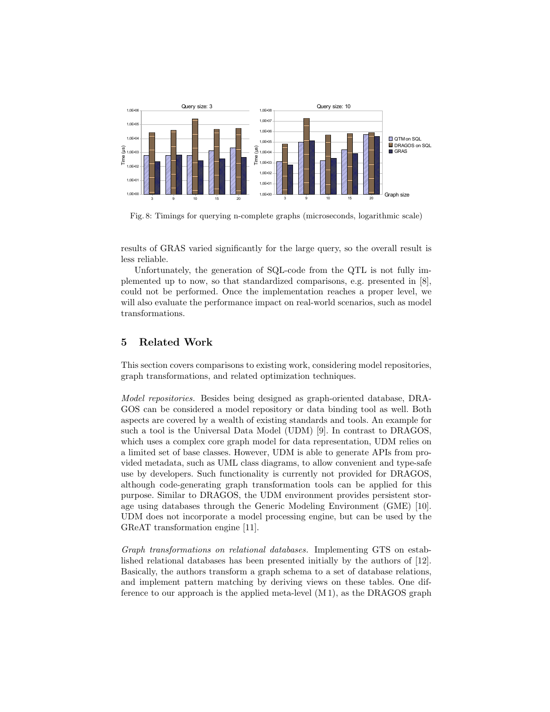

Fig. 8: Timings for querying n-complete graphs (microseconds, logarithmic scale)

results of GRAS varied significantly for the large query, so the overall result is less reliable.

Unfortunately, the generation of SQL-code from the QTL is not fully implemented up to now, so that standardized comparisons, e.g. presented in [8], could not be performed. Once the implementation reaches a proper level, we will also evaluate the performance impact on real-world scenarios, such as model transformations.

## 5 Related Work

This section covers comparisons to existing work, considering model repositories, graph transformations, and related optimization techniques.

Model repositories. Besides being designed as graph-oriented database, DRA-GOS can be considered a model repository or data binding tool as well. Both aspects are covered by a wealth of existing standards and tools. An example for such a tool is the Universal Data Model (UDM) [9]. In contrast to DRAGOS, which uses a complex core graph model for data representation, UDM relies on a limited set of base classes. However, UDM is able to generate APIs from provided metadata, such as UML class diagrams, to allow convenient and type-safe use by developers. Such functionality is currently not provided for DRAGOS, although code-generating graph transformation tools can be applied for this purpose. Similar to DRAGOS, the UDM environment provides persistent storage using databases through the Generic Modeling Environment (GME) [10]. UDM does not incorporate a model processing engine, but can be used by the GReAT transformation engine [11].

Graph transformations on relational databases. Implementing GTS on established relational databases has been presented initially by the authors of [12]. Basically, the authors transform a graph schema to a set of database relations, and implement pattern matching by deriving views on these tables. One difference to our approach is the applied meta-level (M 1), as the DRAGOS graph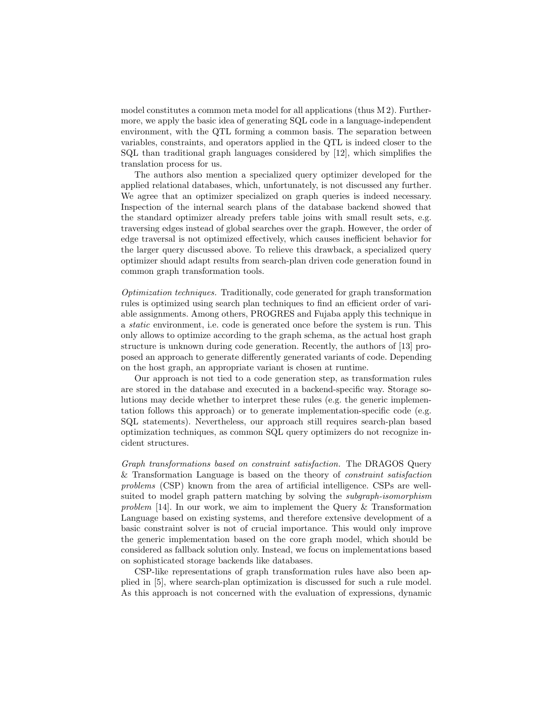model constitutes a common meta model for all applications (thus M 2). Furthermore, we apply the basic idea of generating SQL code in a language-independent environment, with the QTL forming a common basis. The separation between variables, constraints, and operators applied in the QTL is indeed closer to the SQL than traditional graph languages considered by [12], which simplifies the translation process for us.

The authors also mention a specialized query optimizer developed for the applied relational databases, which, unfortunately, is not discussed any further. We agree that an optimizer specialized on graph queries is indeed necessary. Inspection of the internal search plans of the database backend showed that the standard optimizer already prefers table joins with small result sets, e.g. traversing edges instead of global searches over the graph. However, the order of edge traversal is not optimized effectively, which causes inefficient behavior for the larger query discussed above. To relieve this drawback, a specialized query optimizer should adapt results from search-plan driven code generation found in common graph transformation tools.

Optimization techniques. Traditionally, code generated for graph transformation rules is optimized using search plan techniques to find an efficient order of variable assignments. Among others, PROGRES and Fujaba apply this technique in a static environment, i.e. code is generated once before the system is run. This only allows to optimize according to the graph schema, as the actual host graph structure is unknown during code generation. Recently, the authors of [13] proposed an approach to generate differently generated variants of code. Depending on the host graph, an appropriate variant is chosen at runtime.

Our approach is not tied to a code generation step, as transformation rules are stored in the database and executed in a backend-specific way. Storage solutions may decide whether to interpret these rules (e.g. the generic implementation follows this approach) or to generate implementation-specific code (e.g. SQL statements). Nevertheless, our approach still requires search-plan based optimization techniques, as common SQL query optimizers do not recognize incident structures.

Graph transformations based on constraint satisfaction. The DRAGOS Query & Transformation Language is based on the theory of constraint satisfaction problems (CSP) known from the area of artificial intelligence. CSPs are wellsuited to model graph pattern matching by solving the *subgraph-isomorphism* problem [14]. In our work, we aim to implement the Query & Transformation Language based on existing systems, and therefore extensive development of a basic constraint solver is not of crucial importance. This would only improve the generic implementation based on the core graph model, which should be considered as fallback solution only. Instead, we focus on implementations based on sophisticated storage backends like databases.

CSP-like representations of graph transformation rules have also been applied in [5], where search-plan optimization is discussed for such a rule model. As this approach is not concerned with the evaluation of expressions, dynamic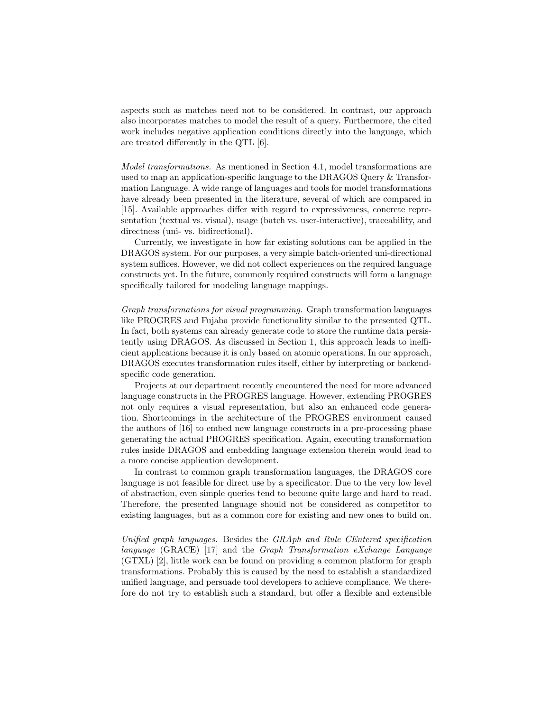aspects such as matches need not to be considered. In contrast, our approach also incorporates matches to model the result of a query. Furthermore, the cited work includes negative application conditions directly into the language, which are treated differently in the QTL [6].

Model transformations. As mentioned in Section 4.1, model transformations are used to map an application-specific language to the DRAGOS Query & Transformation Language. A wide range of languages and tools for model transformations have already been presented in the literature, several of which are compared in [15]. Available approaches differ with regard to expressiveness, concrete representation (textual vs. visual), usage (batch vs. user-interactive), traceability, and directness (uni- vs. bidirectional).

Currently, we investigate in how far existing solutions can be applied in the DRAGOS system. For our purposes, a very simple batch-oriented uni-directional system suffices. However, we did not collect experiences on the required language constructs yet. In the future, commonly required constructs will form a language specifically tailored for modeling language mappings.

Graph transformations for visual programming. Graph transformation languages like PROGRES and Fujaba provide functionality similar to the presented QTL. In fact, both systems can already generate code to store the runtime data persistently using DRAGOS. As discussed in Section 1, this approach leads to inefficient applications because it is only based on atomic operations. In our approach, DRAGOS executes transformation rules itself, either by interpreting or backendspecific code generation.

Projects at our department recently encountered the need for more advanced language constructs in the PROGRES language. However, extending PROGRES not only requires a visual representation, but also an enhanced code generation. Shortcomings in the architecture of the PROGRES environment caused the authors of [16] to embed new language constructs in a pre-processing phase generating the actual PROGRES specification. Again, executing transformation rules inside DRAGOS and embedding language extension therein would lead to a more concise application development.

In contrast to common graph transformation languages, the DRAGOS core language is not feasible for direct use by a specificator. Due to the very low level of abstraction, even simple queries tend to become quite large and hard to read. Therefore, the presented language should not be considered as competitor to existing languages, but as a common core for existing and new ones to build on.

Unified graph languages. Besides the GRAph and Rule CEntered specification language (GRACE) [17] and the Graph Transformation eXchange Language (GTXL) [2], little work can be found on providing a common platform for graph transformations. Probably this is caused by the need to establish a standardized unified language, and persuade tool developers to achieve compliance. We therefore do not try to establish such a standard, but offer a flexible and extensible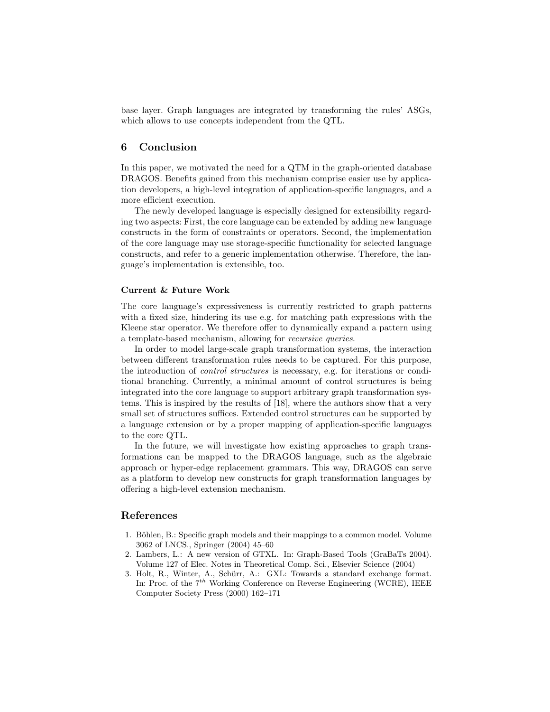base layer. Graph languages are integrated by transforming the rules' ASGs, which allows to use concepts independent from the QTL.

# 6 Conclusion

In this paper, we motivated the need for a QTM in the graph-oriented database DRAGOS. Benefits gained from this mechanism comprise easier use by application developers, a high-level integration of application-specific languages, and a more efficient execution.

The newly developed language is especially designed for extensibility regarding two aspects: First, the core language can be extended by adding new language constructs in the form of constraints or operators. Second, the implementation of the core language may use storage-specific functionality for selected language constructs, and refer to a generic implementation otherwise. Therefore, the language's implementation is extensible, too.

#### Current & Future Work

The core language's expressiveness is currently restricted to graph patterns with a fixed size, hindering its use e.g. for matching path expressions with the Kleene star operator. We therefore offer to dynamically expand a pattern using a template-based mechanism, allowing for recursive queries.

In order to model large-scale graph transformation systems, the interaction between different transformation rules needs to be captured. For this purpose, the introduction of control structures is necessary, e.g. for iterations or conditional branching. Currently, a minimal amount of control structures is being integrated into the core language to support arbitrary graph transformation systems. This is inspired by the results of [18], where the authors show that a very small set of structures suffices. Extended control structures can be supported by a language extension or by a proper mapping of application-specific languages to the core QTL.

In the future, we will investigate how existing approaches to graph transformations can be mapped to the DRAGOS language, such as the algebraic approach or hyper-edge replacement grammars. This way, DRAGOS can serve as a platform to develop new constructs for graph transformation languages by offering a high-level extension mechanism.

#### References

- 1. Böhlen, B.: Specific graph models and their mappings to a common model. Volume 3062 of LNCS., Springer (2004) 45–60
- 2. Lambers, L.: A new version of GTXL. In: Graph-Based Tools (GraBaTs 2004). Volume 127 of Elec. Notes in Theoretical Comp. Sci., Elsevier Science (2004)
- 3. Holt, R., Winter, A., Schürr, A.: GXL: Towards a standard exchange format. In: Proc. of the  $7^{th}$  Working Conference on Reverse Engineering (WCRE), IEEE Computer Society Press (2000) 162–171